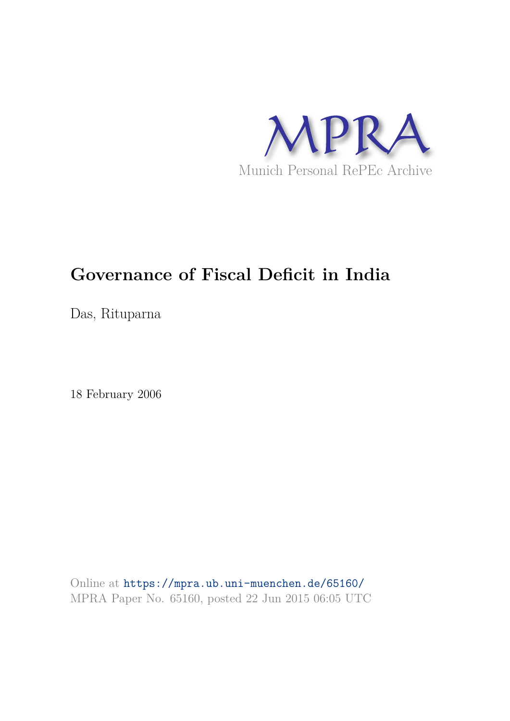

## **Governance of Fiscal Deficit in India**

Das, Rituparna

18 February 2006

Online at https://mpra.ub.uni-muenchen.de/65160/ MPRA Paper No. 65160, posted 22 Jun 2015 06:05 UTC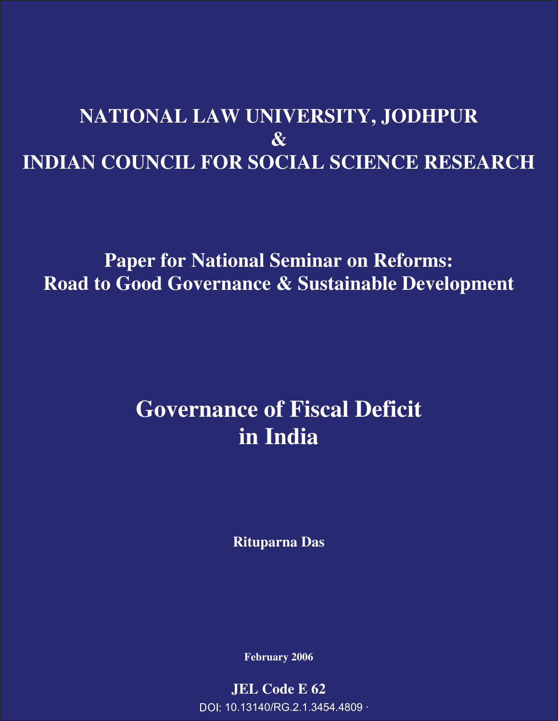# **NATIONAL LAW UNIVERSITY, JODHPUR & INDIAN COUNCIL FOR SOCIAL SCIENCE RESEARCH**

# **Paper for National Seminar on Reforms: Road to Good Governance & Sustainable Development**

# **Governance of Fiscal Deficit in India**

**Rituparna Das** 

**February 2006** 

**JEL Code E 62**  DOI: 10.13140/RG.2.1.3454.4809 ·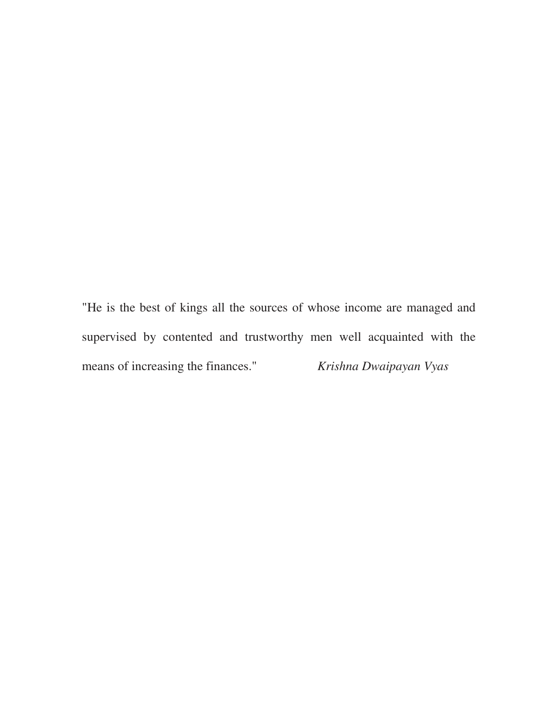"He is the best of kings all the sources of whose income are managed and supervised by contented and trustworthy men well acquainted with the means of increasing the finances." *Krishna Dwaipayan Vyas*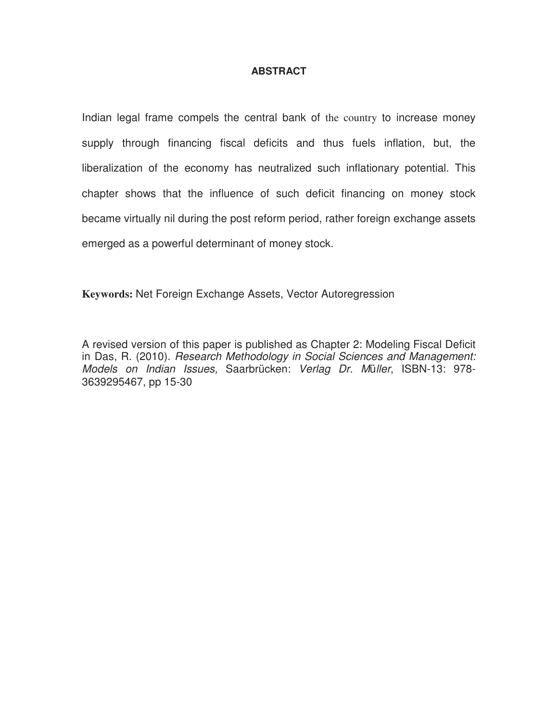### **ABSTRACT**

Indian legal frame compels the central bank of the country to increase money supply through financing fiscal deficits and thus fuels inflation, but, the liberalization of the economy has neutralized such inflationary potential. This chapter shows that the influence of such deficit financing on money stock became virtually nil during the post reform period, rather foreign exchange assets emerged as a powerful determinant of money stock.

**Keywords:** Net Foreign Exchange Assets, Vector Autoregression

A revised version of this paper is published as Chapter 2: Modeling Fiscal Deficit in Das, R. (2010). *Research Methodology in Social Sciences and Management: Models on Indian Issues,* Saarbrücken: *Verlag Dr. M*ü*ller*, ISBN-13: 978- 3639295467, pp 15-30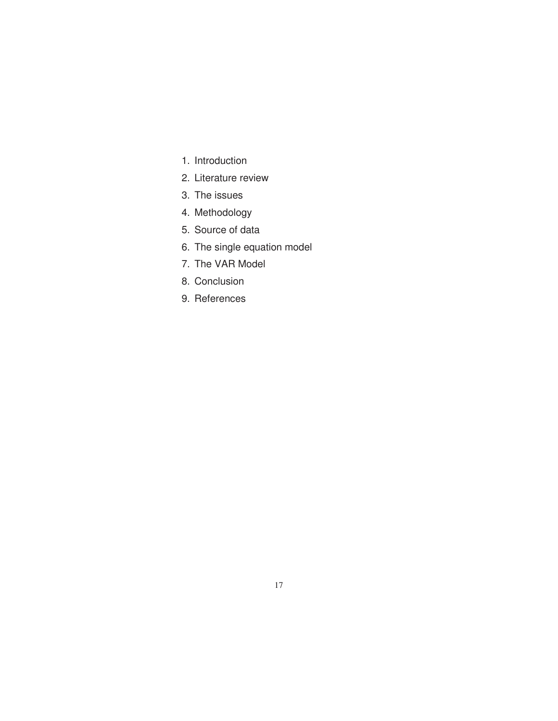- 1. Introduction
- 2. Literature review
- 3. The issues
- 4. Methodology
- 5. Source of data
- 6. The single equation model
- 7. The VAR Model
- 8. Conclusion
- 9. References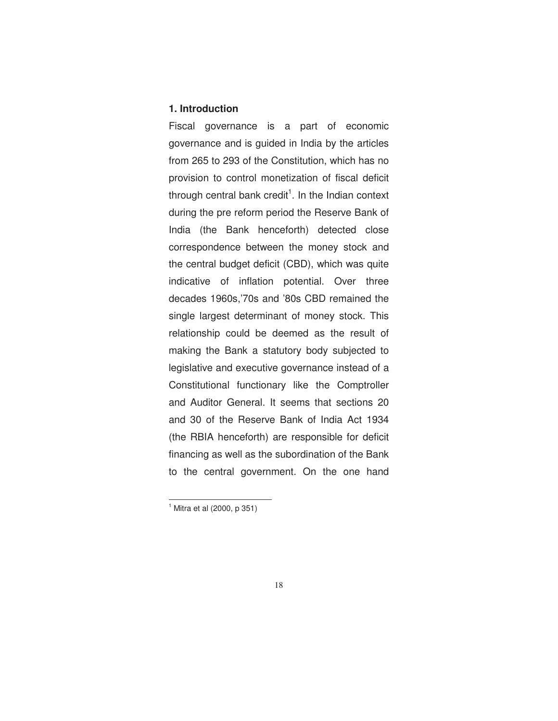#### **1. Introduction**

Fiscal governance is a part of economic governance and is guided in India by the articles from 265 to 293 of the Constitution, which has no provision to control monetization of fiscal deficit through central bank credit<sup>1</sup>. In the Indian context during the pre reform period the Reserve Bank of India (the Bank henceforth) detected close correspondence between the money stock and the central budget deficit (CBD), which was quite indicative of inflation potential. Over three decades 1960s,'70s and '80s CBD remained the single largest determinant of money stock. This relationship could be deemed as the result of making the Bank a statutory body subjected to legislative and executive governance instead of a Constitutional functionary like the Comptroller and Auditor General. It seems that sections 20 and 30 of the Reserve Bank of India Act 1934 (the RBIA henceforth) are responsible for deficit financing as well as the subordination of the Bank to the central government. On the one hand

 $\overline{a}$ 

<sup>1</sup> Mitra et al (2000, p 351)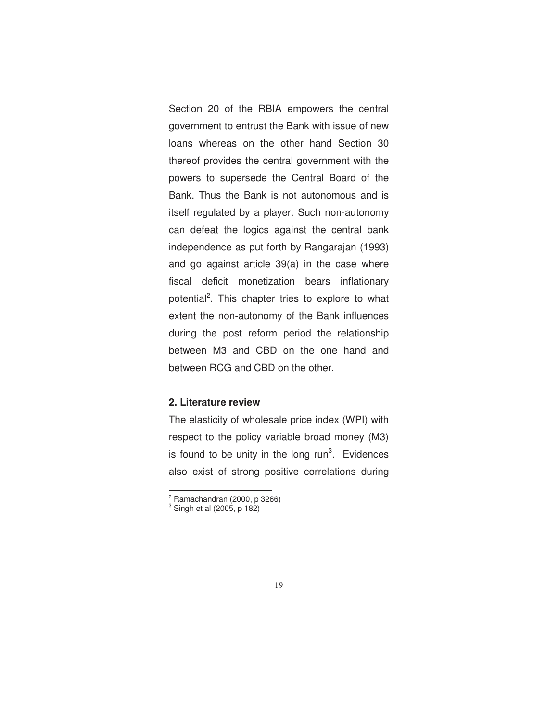Section 20 of the RBIA empowers the central government to entrust the Bank with issue of new loans whereas on the other hand Section 30 thereof provides the central government with the powers to supersede the Central Board of the Bank. Thus the Bank is not autonomous and is itself regulated by a player. Such non-autonomy can defeat the logics against the central bank independence as put forth by Rangarajan (1993) and go against article 39(a) in the case where fiscal deficit monetization bears inflationary potential<sup>2</sup>. This chapter tries to explore to what extent the non-autonomy of the Bank influences during the post reform period the relationship between M3 and CBD on the one hand and between RCG and CBD on the other.

### **2. Literature review**

The elasticity of wholesale price index (WPI) with respect to the policy variable broad money (M3) is found to be unity in the long  $run<sup>3</sup>$ . Evidences also exist of strong positive correlations during

.

 $2$  Ramachandran (2000, p 3266)

<sup>3</sup> Singh et al (2005, p 182)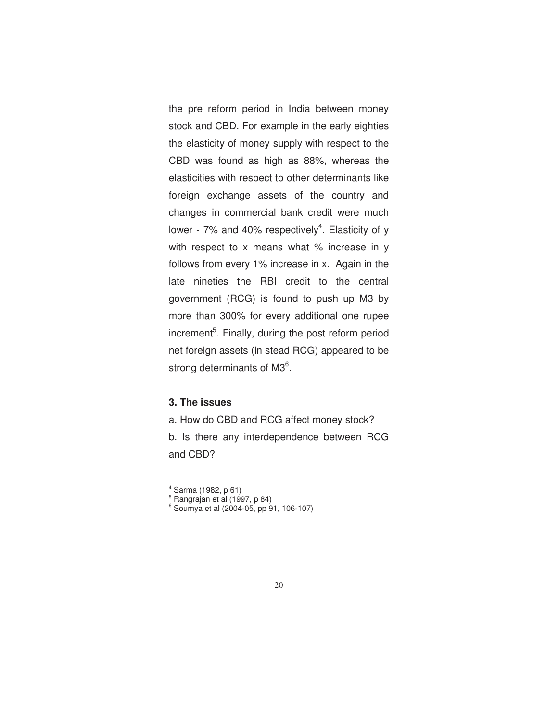the pre reform period in India between money stock and CBD. For example in the early eighties the elasticity of money supply with respect to the CBD was found as high as 88%, whereas the elasticities with respect to other determinants like foreign exchange assets of the country and changes in commercial bank credit were much lower -  $7\%$  and 40% respectively<sup>4</sup>. Elasticity of y with respect to x means what % increase in y follows from every 1% increase in x. Again in the late nineties the RBI credit to the central government (RCG) is found to push up M3 by more than 300% for every additional one rupee increment<sup>5</sup>. Finally, during the post reform period net foreign assets (in stead RCG) appeared to be strong determinants of M3<sup>6</sup>.

### **3. The issues**

a. How do CBD and RCG affect money stock? b. Is there any interdependence between RCG and CBD?

.

<sup>4</sup> Sarma (1982, p 61)

<sup>5</sup> Rangrajan et al (1997, p 84)

<sup>6</sup> Soumya et al (2004-05, pp 91, 106-107)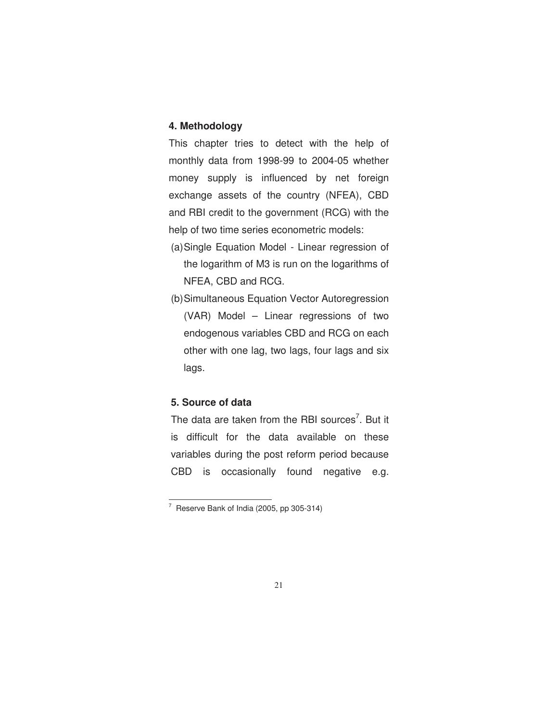### **4. Methodology**

This chapter tries to detect with the help of monthly data from 1998-99 to 2004-05 whether money supply is influenced by net foreign exchange assets of the country (NFEA), CBD and RBI credit to the government (RCG) with the help of two time series econometric models:

- (a) Single Equation Model Linear regression of the logarithm of M3 is run on the logarithms of NFEA, CBD and RCG.
- (b) Simultaneous Equation Vector Autoregression (VAR) Model – Linear regressions of two endogenous variables CBD and RCG on each other with one lag, two lags, four lags and six lags.

### **5. Source of data**

 $\overline{a}$ 

The data are taken from the RBI sources<sup>7</sup>. But it is difficult for the data available on these variables during the post reform period because CBD is occasionally found negative e.g.

<sup>&</sup>lt;sup>7</sup> Reserve Bank of India (2005, pp 305-314)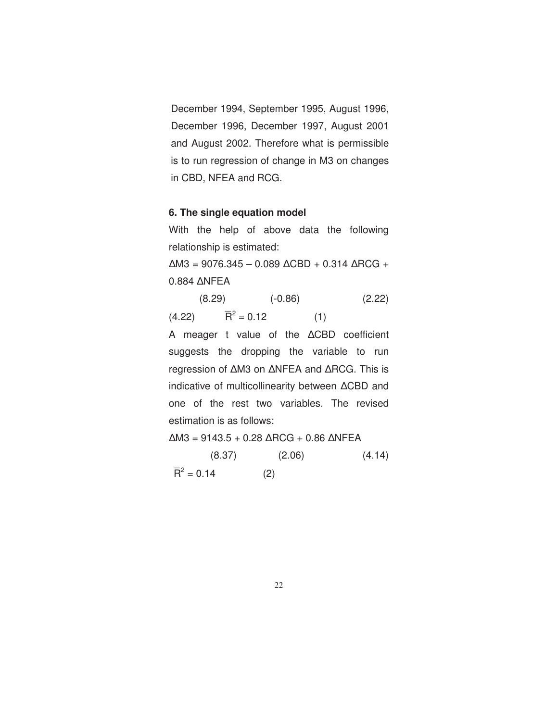December 1994, September 1995, August 1996, December 1996, December 1997, August 2001 and August 2002. Therefore what is permissible is to run regression of change in M3 on changes in CBD, NFEA and RCG.

#### **6. The single equation model**

With the help of above data the following relationship is estimated:

∆M3 = 9076.345 – 0.089 ∆CBD + 0.314 ∆RCG + 0.884 ∆NFEA

 (8.29) (-0.86) (2.22)  $(4.22)$  $2^2 = 0.12$  (1)

A meager t value of the ∆CBD coefficient suggests the dropping the variable to run regression of ∆M3 on ∆NFEA and ∆RCG. This is indicative of multicollinearity between ∆CBD and one of the rest two variables. The revised estimation is as follows:

∆M3 = 9143.5 + 0.28 ∆RCG + 0.86 ∆NFEA  $(8.37)$   $(2.06)$   $(4.14)$  $\overline{R}^2 = 0.14$  (2)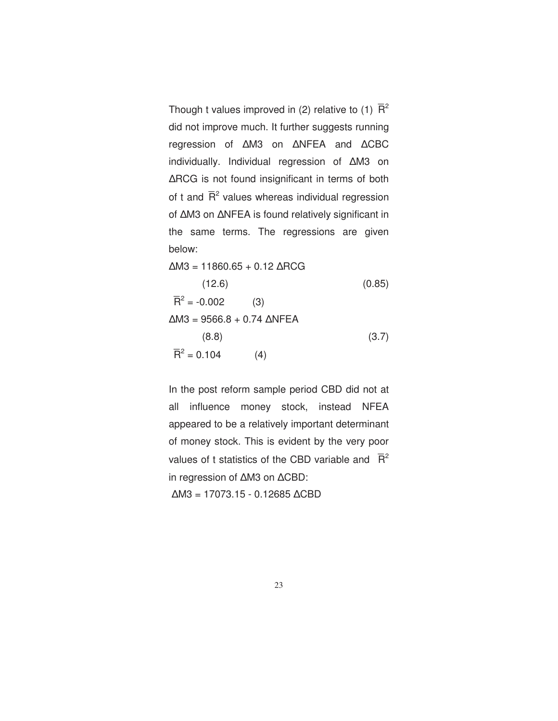Though t values improved in (2) relative to (1)  $\overline{\mathsf{R}}^2$ did not improve much. It further suggests running regression of ∆M3 on ∆NFEA and ∆CBC individually. Individual regression of ∆M3 on ∆RCG is not found insignificant in terms of both of t and  $\bar{R}^2$  values whereas individual regression of ∆M3 on ∆NFEA is found relatively significant in the same terms. The regressions are given below:

$$
\Delta M3 = 11860.65 + 0.12 \Delta RCG
$$
\n(12.6) (0.85)\n
$$
\overline{R}^2 = -0.002
$$
\n(3)\n
$$
\Delta M3 = 9566.8 + 0.74 \Delta NFEA
$$
\n(8.8)\n
$$
\overline{R}^2 = 0.104
$$
\n(4)

In the post reform sample period CBD did not at all influence money stock, instead NFEA appeared to be a relatively important determinant of money stock. This is evident by the very poor values of t statistics of the CBD variable and  $\bar{R}^2$ in regression of ∆M3 on ∆CBD: ∆M3 = 17073.15 - 0.12685 ∆CBD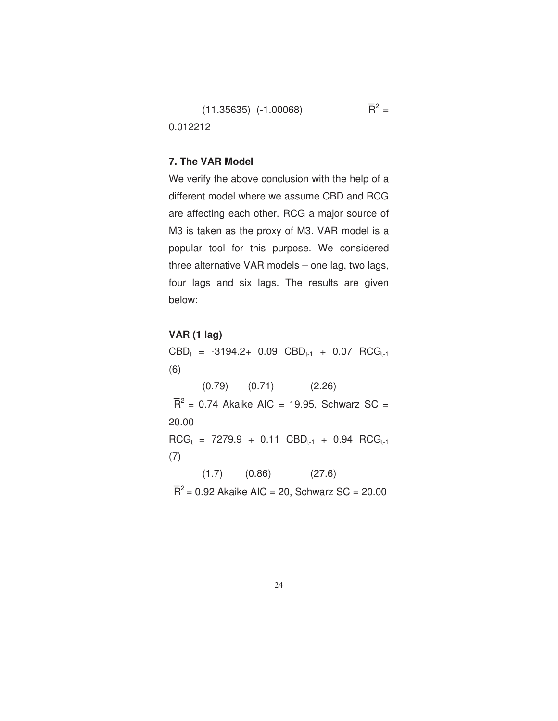$(11.35635)$   $(-1.00068)$  $2 =$ 0.012212

#### **7. The VAR Model**

We verify the above conclusion with the help of a different model where we assume CBD and RCG are affecting each other. RCG a major source of M3 is taken as the proxy of M3. VAR model is a popular tool for this purpose. We considered three alternative VAR models – one lag, two lags, four lags and six lags. The results are given below:

#### **VAR (1 lag)**

 $\text{CBD}_t = -3194.2+ 0.09 \text{ CBD}_{t-1} + 0.07 \text{ RCG}_{t-1}$ (6) (0.79) (0.71) (2.26)  $\overline{R}^2$  = 0.74 Akaike AIC = 19.95, Schwarz SC = 20.00  $RCG_t = 7279.9 + 0.11$   $CBD_{t-1} + 0.94$   $RCG_{t-1}$ (7)  $(1.7)$   $(0.86)$   $(27.6)$  $\overline{R}^2$  = 0.92 Akaike AIC = 20, Schwarz SC = 20.00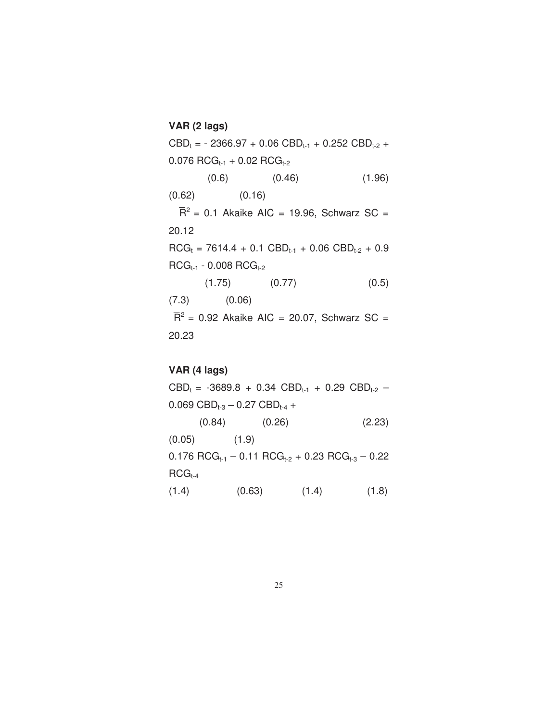**VAR (2 lags)**   $\text{CBD}_t = -2366.97 + 0.06 \text{ CBD}_{t-1} + 0.252 \text{ CBD}_{t-2} +$  $0.076$  RCG<sub>t-1</sub> + 0.02 RCG<sub>t-2</sub>  $(0.6)$   $(0.46)$   $(1.96)$  $(0.62)$   $(0.16)$  $\overline{R}^2$  = 0.1 Akaike AIC = 19.96, Schwarz SC = 20.12  $RCG_t = 7614.4 + 0.1$   $CBD_{t-1} + 0.06$   $CBD_{t-2} + 0.9$  $RCG_{t-1} - 0.008 RCG_{t-2}$  $(1.75)$   $(0.77)$   $(0.5)$ (7.3) (0.06)  $\overline{R}^2$  = 0.92 Akaike AIC = 20.07, Schwarz SC = 20.23

### **VAR (4 lags)**

 $CBD_t = -3689.8 + 0.34$   $CBD_{t-1} + 0.29$   $CBD_{t-2} 0.069$  CBD<sub>t-3</sub> – 0.27 CBD<sub>t-4</sub> + (0.84) (0.26) (2.23)  $(0.05)$   $(1.9)$  $0.176$  RCG<sub>t-1</sub> – 0.11 RCG<sub>t-2</sub> + 0.23 RCG<sub>t-3</sub> – 0.22  $RCG<sub>t-4</sub>$  $(1.4)$   $(0.63)$   $(1.4)$   $(1.8)$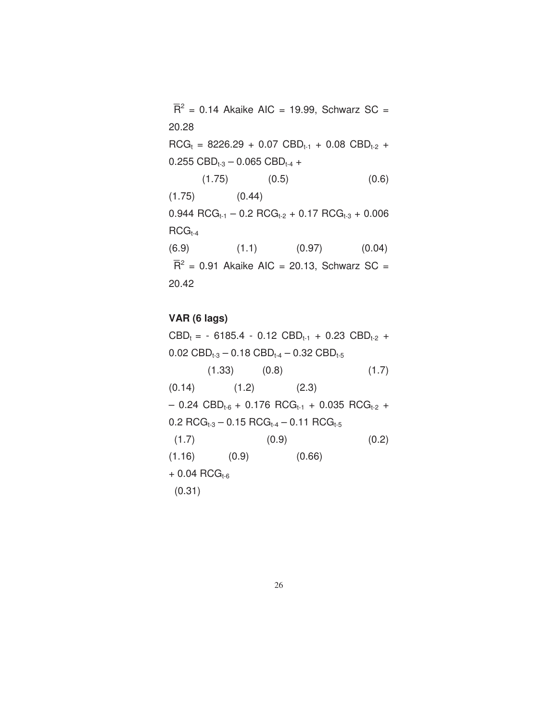$\overline{R}^2$  = 0.14 Akaike AIC = 19.99, Schwarz SC = 20.28  $RCG_t = 8226.29 + 0.07$   $CBD_{t-1} + 0.08$   $CBD_{t-2} +$ 0.255  $CBD_{t-3} - 0.065$   $CBD_{t-4} +$  $(1.75)$   $(0.5)$   $(0.6)$  $(1.75)$   $(0.44)$  $0.944 \text{ RCG}_{t-1} - 0.2 \text{ RCG}_{t-2} + 0.17 \text{ RCG}_{t-3} + 0.006$  $RCG_{t-4}$  $(6.9)$   $(1.1)$   $(0.97)$   $(0.04)$  $\overline{R}^2$  = 0.91 Akaike AIC = 20.13, Schwarz SC = 20.42

**VAR (6 lags)** 

 $CBD_t = -6185.4 - 0.12$   $CBD_{t-1} + 0.23$   $CBD_{t-2} +$ 0.02  $CBD_{t-3} - 0.18$   $CBD_{t-4} - 0.32$   $CBD_{t-5}$  $(1.33)$   $(0.8)$   $(1.7)$  $(0.14)$   $(1.2)$   $(2.3)$  $-$  0.24 CBD<sub>t-6</sub> + 0.176 RCG<sub>t-1</sub> + 0.035 RCG<sub>t-2</sub> +  $0.2 \text{ RCG}_{t-3} - 0.15 \text{ RCG}_{t-4} - 0.11 \text{ RCG}_{t-5}$  $(1.7)$   $(0.9)$   $(0.2)$  $(1.16)$   $(0.9)$   $(0.66)$  $+ 0.04$  RCG<sub>t-6</sub> (0.31)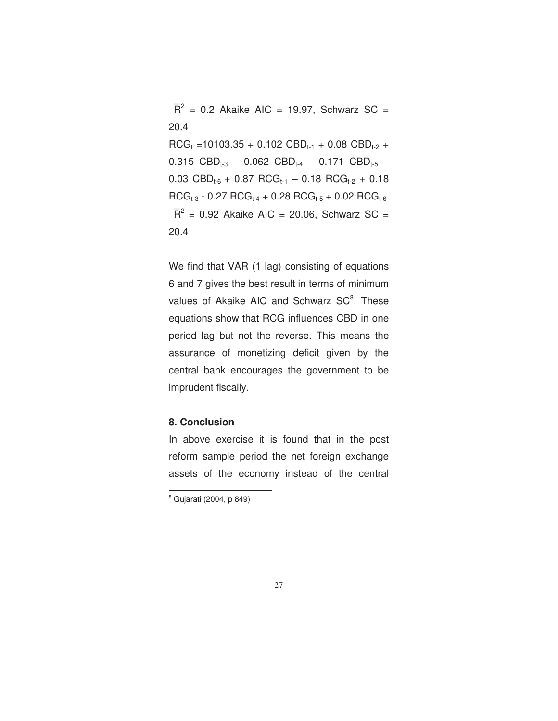$\overline{R}^2$  = 0.2 Akaike AIC = 19.97, Schwarz SC = 20.4  $RCG_t = 10103.35 + 0.102$  CBD<sub>t-1</sub> + 0.08 CBD<sub>t-2</sub> + 0.315 CBD<sub>t-3</sub> – 0.062 CBD<sub>t-4</sub> – 0.171 CBD<sub>t-5</sub> – 0.03 CBD<sub>t-6</sub> + 0.87 RCG<sub>t-1</sub> - 0.18 RCG<sub>t-2</sub> + 0.18  $RCG_{t-3} - 0.27 RCG_{t-4} + 0.28 RCG_{t-5} + 0.02 RCG_{t-6}$  $\overline{R}^2$  = 0.92 Akaike AIC = 20.06, Schwarz SC = 20.4

We find that VAR (1 lag) consisting of equations 6 and 7 gives the best result in terms of minimum values of Akaike AIC and Schwarz SC<sup>8</sup>. These equations show that RCG influences CBD in one period lag but not the reverse. This means the assurance of monetizing deficit given by the central bank encourages the government to be imprudent fiscally.

#### **8. Conclusion**

In above exercise it is found that in the post reform sample period the net foreign exchange assets of the economy instead of the central

.

<sup>8</sup> Gujarati (2004, p 849)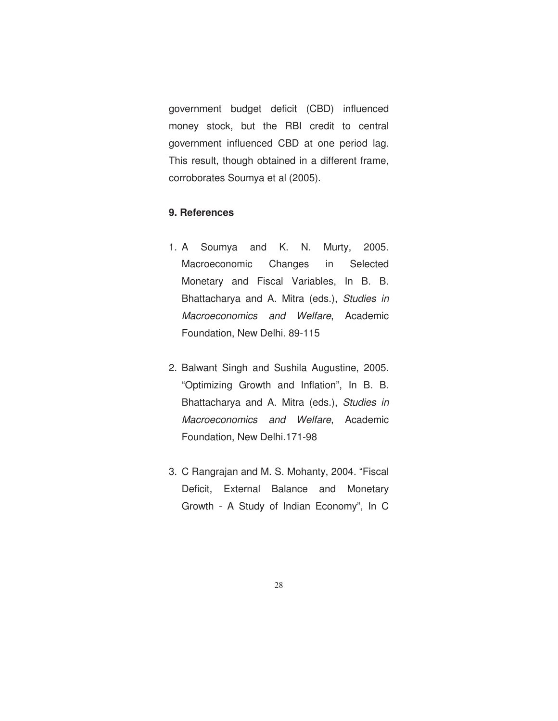government budget deficit (CBD) influenced money stock, but the RBI credit to central government influenced CBD at one period lag. This result, though obtained in a different frame, corroborates Soumya et al (2005).

### **9. References**

- 1. A Soumya and K. N. Murty, 2005. Macroeconomic Changes in Selected Monetary and Fiscal Variables, In B. B. Bhattacharya and A. Mitra (eds.), *Studies in Macroeconomics and Welfare*, Academic Foundation, New Delhi. 89-115
- 2. Balwant Singh and Sushila Augustine, 2005. "Optimizing Growth and Inflation", In B. B. Bhattacharya and A. Mitra (eds.), *Studies in Macroeconomics and Welfare*, Academic Foundation, New Delhi.171-98
- 3. C Rangrajan and M. S. Mohanty, 2004. "Fiscal Deficit, External Balance and Monetary Growth - A Study of Indian Economy", In C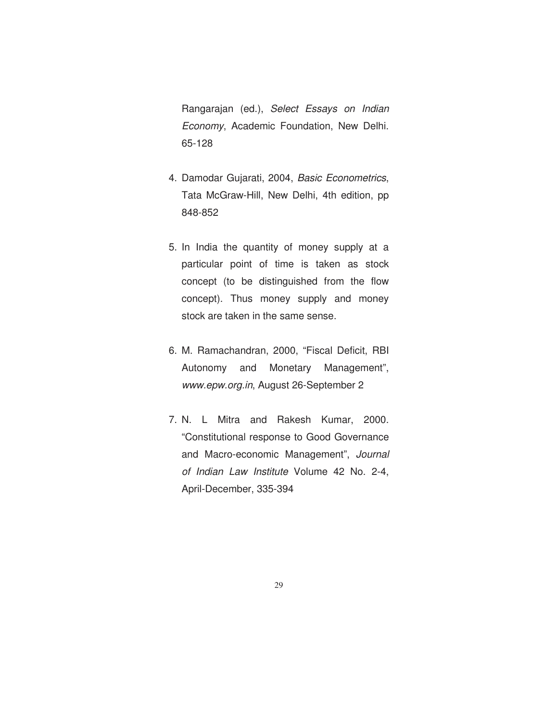Rangarajan (ed.), *Select Essays on Indian Economy*, Academic Foundation, New Delhi. 65-128

- 4. Damodar Gujarati, 2004, *Basic Econometrics*, Tata McGraw-Hill, New Delhi, 4th edition, pp 848-852
- 5. In India the quantity of money supply at a particular point of time is taken as stock concept (to be distinguished from the flow concept). Thus money supply and money stock are taken in the same sense.
- 6. M. Ramachandran, 2000, "Fiscal Deficit, RBI Autonomy and Monetary Management", *www.epw.org.in*, August 26-September 2
- 7. N. L Mitra and Rakesh Kumar, 2000. "Constitutional response to Good Governance and Macro-economic Management", *Journal of Indian Law Institute* Volume 42 No. 2-4, April-December, 335-394